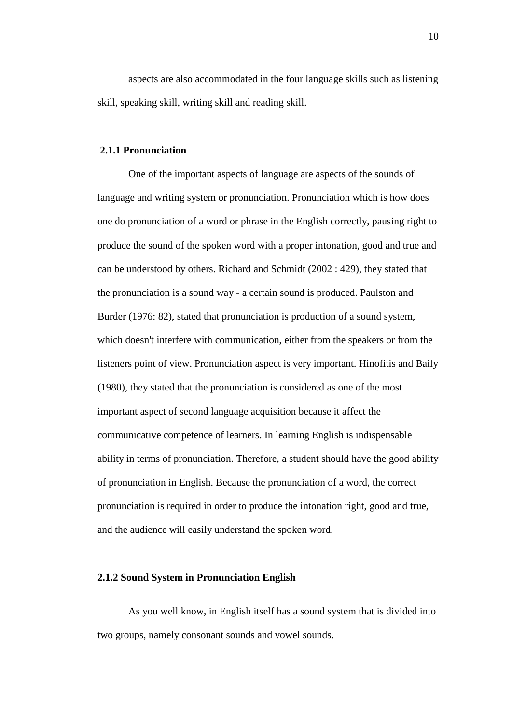aspects are also accommodated in the four language skills such as listening skill, speaking skill, writing skill and reading skill.

# **2.1.1 Pronunciation**

One of the important aspects of language are aspects of the sounds of language and writing system or pronunciation. Pronunciation which is how does one do pronunciation of a word or phrase in the English correctly, pausing right to produce the sound of the spoken word with a proper intonation, good and true and can be understood by others. Richard and Schmidt (2002 : 429), they stated that the pronunciation is a sound way - a certain sound is produced. Paulston and Burder (1976: 82), stated that pronunciation is production of a sound system, which doesn't interfere with communication, either from the speakers or from the listeners point of view. Pronunciation aspect is very important. Hinofitis and Baily (1980), they stated that the pronunciation is considered as one of the most important aspect of second language acquisition because it affect the communicative competence of learners. In learning English is indispensable ability in terms of pronunciation. Therefore, a student should have the good ability of pronunciation in English. Because the pronunciation of a word, the correct pronunciation is required in order to produce the intonation right, good and true, and the audience will easily understand the spoken word.

### **2.1.2 Sound System in Pronunciation English**

As you well know, in English itself has a sound system that is divided into two groups, namely consonant sounds and vowel sounds.

10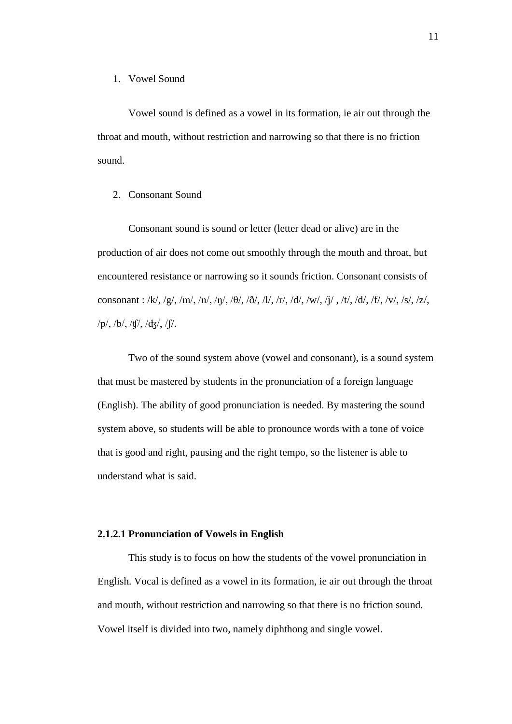#### 1. Vowel Sound

Vowel sound is defined as a vowel in its formation, ie air out through the throat and mouth, without restriction and narrowing so that there is no friction sound.

## 2. Consonant Sound

Consonant sound is sound or letter (letter dead or alive) are in the production of air does not come out smoothly through the mouth and throat, but encountered resistance or narrowing so it sounds friction. Consonant consists of consonant : /k/, /g/, /m/, /n/, / $\theta$ /, / $\delta$ /, /l/, /r/, /d/, /w/, /j/, /t/, /d/, /f/, /v/, /s/, /z/, /p/, /b/, /ʧ/, /ʤ/, /ʃ/.

Two of the sound system above (vowel and consonant), is a sound system that must be mastered by students in the pronunciation of a foreign language (English). The ability of good pronunciation is needed. By mastering the sound system above, so students will be able to pronounce words with a tone of voice that is good and right, pausing and the right tempo, so the listener is able to understand what is said.

# **2.1.2.1 Pronunciation of Vowels in English**

This study is to focus on how the students of the vowel pronunciation in English. Vocal is defined as a vowel in its formation, ie air out through the throat and mouth, without restriction and narrowing so that there is no friction sound. Vowel itself is divided into two, namely diphthong and single vowel.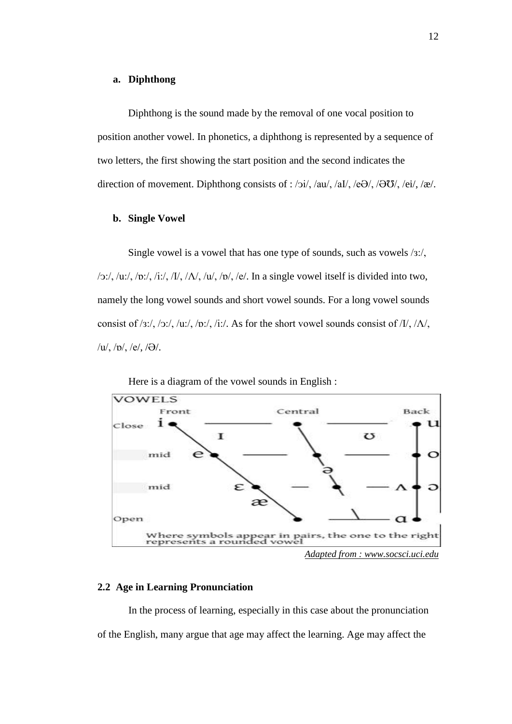### **a. Diphthong**

Diphthong is the sound made by the removal of one vocal position to position another vowel. In phonetics, a diphthong is represented by a sequence of two letters, the first showing the start position and the second indicates the direction of movement. Diphthong consists of : /ɔi/, /au/, /aI/, /e $\Theta$ /, / $\Theta$  $\Theta$ /, /ei/, /æ/.

#### **b. Single Vowel**

Single vowel is a vowel that has one type of sounds, such as vowels /з:/,  $/$ o:/, /u:/, /o:/, /i:/, / $I$ /, / $\Lambda$ /, / $\mu$ /, / $\sigma$ /, / $\epsilon$ /. In a single vowel itself is divided into two, namely the long vowel sounds and short vowel sounds. For a long vowel sounds consist of /3:/, /ɔ:/, /u:/, /ɒ:/, /i:/. As for the short vowel sounds consist of /I/, / $\Lambda$ /,  $/u/$ ,  $/v/$ ,  $/e/$ ,  $/\Theta/$ .



Here is a diagram of the vowel sounds in English :

## **2.2 Age in Learning Pronunciation**

In the process of learning, especially in this case about the pronunciation of the English, many argue that age may affect the learning. Age may affect the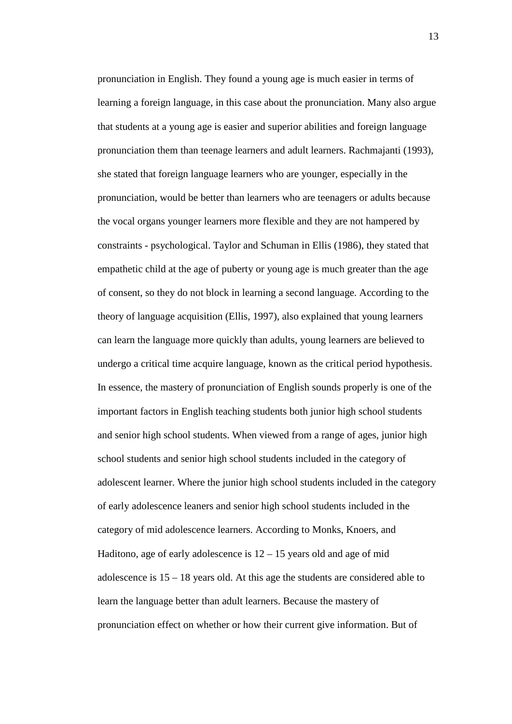pronunciation in English. They found a young age is much easier in terms of learning a foreign language, in this case about the pronunciation. Many also argue that students at a young age is easier and superior abilities and foreign language pronunciation them than teenage learners and adult learners. Rachmajanti (1993), she stated that foreign language learners who are younger, especially in the pronunciation, would be better than learners who are teenagers or adults because the vocal organs younger learners more flexible and they are not hampered by constraints - psychological. Taylor and Schuman in Ellis (1986), they stated that empathetic child at the age of puberty or young age is much greater than the age of consent, so they do not block in learning a second language. According to the theory of language acquisition (Ellis, 1997), also explained that young learners can learn the language more quickly than adults, young learners are believed to undergo a critical time acquire language, known as the critical period hypothesis. In essence, the mastery of pronunciation of English sounds properly is one of the important factors in English teaching students both junior high school students and senior high school students. When viewed from a range of ages, junior high school students and senior high school students included in the category of adolescent learner. Where the junior high school students included in the category of early adolescence leaners and senior high school students included in the category of mid adolescence learners. According to Monks, Knoers, and Haditono, age of early adolescence is  $12 - 15$  years old and age of mid adolescence is 15 – 18 years old. At this age the students are considered able to learn the language better than adult learners. Because the mastery of pronunciation effect on whether or how their current give information. But of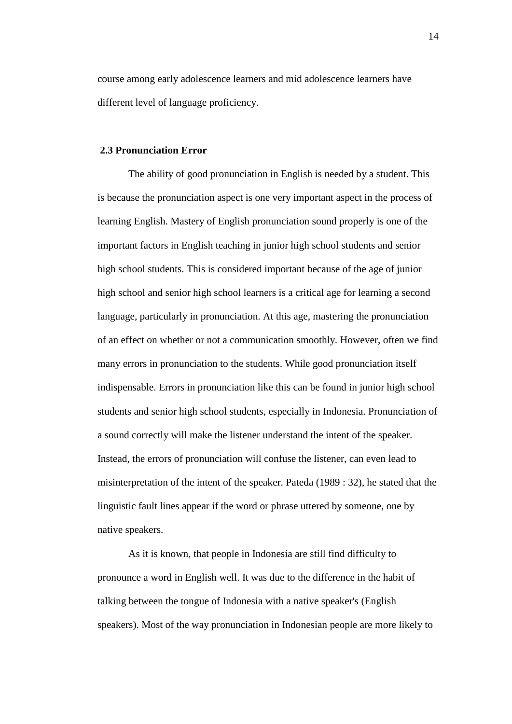course among early adolescence learners and mid adolescence learners have different level of language proficiency.

### **2.3 Pronunciation Error**

The ability of good pronunciation in English is needed by a student. This is because the pronunciation aspect is one very important aspect in the process of learning English. Mastery of English pronunciation sound properly is one of the important factors in English teaching in junior high school students and senior high school students. This is considered important because of the age of junior high school and senior high school learners is a critical age for learning a second language, particularly in pronunciation. At this age, mastering the pronunciation of an effect on whether or not a communication smoothly. However, often we find many errors in pronunciation to the students. While good pronunciation itself indispensable. Errors in pronunciation like this can be found in junior high school students and senior high school students, especially in Indonesia. Pronunciation of a sound correctly will make the listener understand the intent of the speaker. Instead, the errors of pronunciation will confuse the listener, can even lead to misinterpretation of the intent of the speaker. Pateda (1989 : 32), he stated that the linguistic fault lines appear if the word or phrase uttered by someone, one by native speakers.

As it is known, that people in Indonesia are still find difficulty to pronounce a word in English well. It was due to the difference in the habit of talking between the tongue of Indonesia with a native speaker's (English speakers). Most of the way pronunciation in Indonesian people are more likely to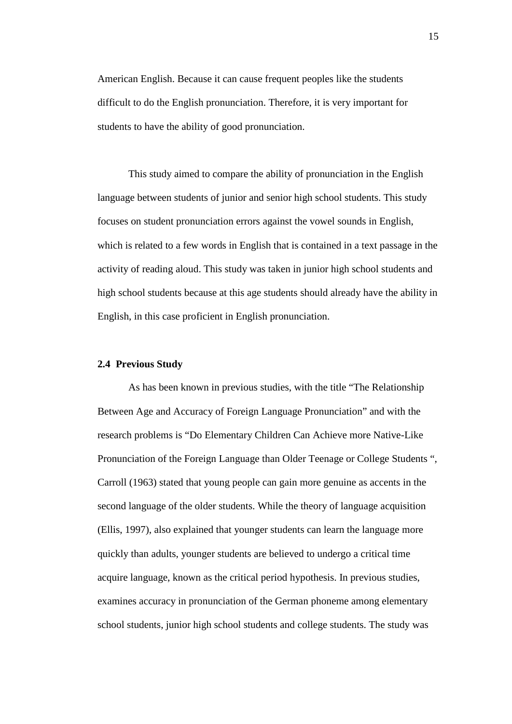American English. Because it can cause frequent peoples like the students difficult to do the English pronunciation. Therefore, it is very important for students to have the ability of good pronunciation.

This study aimed to compare the ability of pronunciation in the English language between students of junior and senior high school students. This study focuses on student pronunciation errors against the vowel sounds in English, which is related to a few words in English that is contained in a text passage in the activity of reading aloud. This study was taken in junior high school students and high school students because at this age students should already have the ability in English, in this case proficient in English pronunciation.

### **2.4 Previous Study**

As has been known in previous studies, with the title "The Relationship Between Age and Accuracy of Foreign Language Pronunciation" and with the research problems is "Do Elementary Children Can Achieve more Native-Like Pronunciation of the Foreign Language than Older Teenage or College Students ", Carroll (1963) stated that young people can gain more genuine as accents in the second language of the older students. While the theory of language acquisition (Ellis, 1997), also explained that younger students can learn the language more quickly than adults, younger students are believed to undergo a critical time acquire language, known as the critical period hypothesis. In previous studies, examines accuracy in pronunciation of the German phoneme among elementary school students, junior high school students and college students. The study was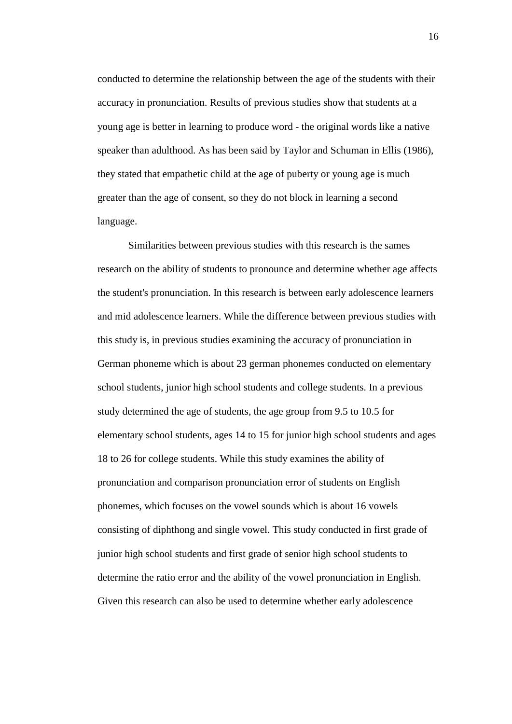conducted to determine the relationship between the age of the students with their accuracy in pronunciation. Results of previous studies show that students at a young age is better in learning to produce word - the original words like a native speaker than adulthood. As has been said by Taylor and Schuman in Ellis (1986), they stated that empathetic child at the age of puberty or young age is much greater than the age of consent, so they do not block in learning a second language.

Similarities between previous studies with this research is the sames research on the ability of students to pronounce and determine whether age affects the student's pronunciation. In this research is between early adolescence learners and mid adolescence learners. While the difference between previous studies with this study is, in previous studies examining the accuracy of pronunciation in German phoneme which is about 23 german phonemes conducted on elementary school students, junior high school students and college students. In a previous study determined the age of students, the age group from 9.5 to 10.5 for elementary school students, ages 14 to 15 for junior high school students and ages 18 to 26 for college students. While this study examines the ability of pronunciation and comparison pronunciation error of students on English phonemes, which focuses on the vowel sounds which is about 16 vowels consisting of diphthong and single vowel. This study conducted in first grade of junior high school students and first grade of senior high school students to determine the ratio error and the ability of the vowel pronunciation in English. Given this research can also be used to determine whether early adolescence